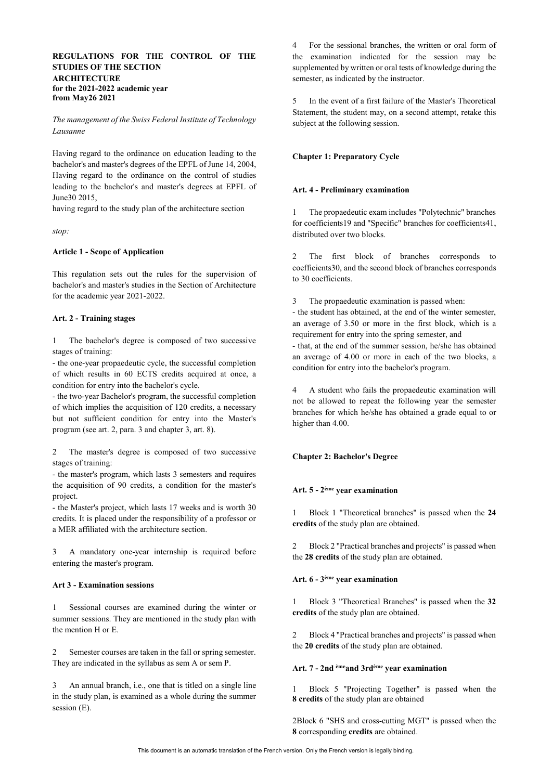# **REGULATIONS FOR THE CONTROL OF THE STUDIES OF THE SECTION ARCHITECTURE for the 2021-2022 academic year from May26 2021**

*The management of the Swiss Federal Institute of Technology Lausanne*

Having regard to the ordinance on education leading to the bachelor's and master's degrees of the EPFL of June 14, 2004, Having regard to the ordinance on the control of studies leading to the bachelor's and master's degrees at EPFL of June30 2015,

having regard to the study plan of the architecture section

*stop:*

#### **Article 1 - Scope of Application**

This regulation sets out the rules for the supervision of bachelor's and master's studies in the Section of Architecture for the academic year 2021-2022.

## **Art. 2 - Training stages**

1 The bachelor's degree is composed of two successive stages of training:

- the one-year propaedeutic cycle, the successful completion of which results in 60 ECTS credits acquired at once, a condition for entry into the bachelor's cycle.

- the two-year Bachelor's program, the successful completion of which implies the acquisition of 120 credits, a necessary but not sufficient condition for entry into the Master's program (see art. 2, para. 3 and chapter 3, art. 8).

2 The master's degree is composed of two successive stages of training:

- the master's program, which lasts 3 semesters and requires the acquisition of 90 credits, a condition for the master's project.

- the Master's project, which lasts 17 weeks and is worth 30 credits. It is placed under the responsibility of a professor or a MER affiliated with the architecture section.

3 A mandatory one-year internship is required before entering the master's program.

#### **Art 3 - Examination sessions**

1 Sessional courses are examined during the winter or summer sessions. They are mentioned in the study plan with the mention H or E.

2 Semester courses are taken in the fall or spring semester. They are indicated in the syllabus as sem A or sem P.

3 An annual branch, i.e., one that is titled on a single line in the study plan, is examined as a whole during the summer session (E).

4 For the sessional branches, the written or oral form of the examination indicated for the session may be supplemented by written or oral tests of knowledge during the semester, as indicated by the instructor.

5 In the event of a first failure of the Master's Theoretical Statement, the student may, on a second attempt, retake this subject at the following session.

## **Chapter 1: Preparatory Cycle**

### **Art. 4 - Preliminary examination**

The propaedeutic exam includes "Polytechnic" branches for coefficients19 and "Specific" branches for coefficients41, distributed over two blocks.

2 The first block of branches corresponds coefficients30, and the second block of branches corresponds to 30 coefficients.

3 The propaedeutic examination is passed when:

- the student has obtained, at the end of the winter semester, an average of 3.50 or more in the first block, which is a requirement for entry into the spring semester, and

- that, at the end of the summer session, he/she has obtained an average of 4.00 or more in each of the two blocks, a condition for entry into the bachelor's program.

4 A student who fails the propaedeutic examination will not be allowed to repeat the following year the semester branches for which he/she has obtained a grade equal to or higher than 4.00.

#### **Chapter 2: Bachelor's Degree**

#### **Art. 5 - 2ème year examination**

1 Block 1 "Theoretical branches" is passed when the **24 credits** of the study plan are obtained.

2 Block 2 "Practical branches and projects" is passed when the **28 credits** of the study plan are obtained.

#### **Art. 6 - 3ème year examination**

1 Block 3 "Theoretical Branches" is passed when the **32 credits** of the study plan are obtained.

2 Block 4 "Practical branches and projects" is passed when the **20 credits** of the study plan are obtained.

#### **Art. 7 - 2nd èmeand 3rdème year examination**

1 Block 5 "Projecting Together" is passed when the **8 credits** of the study plan are obtained

2Block 6 "SHS and cross-cutting MGT" is passed when the **8** corresponding **credits** are obtained.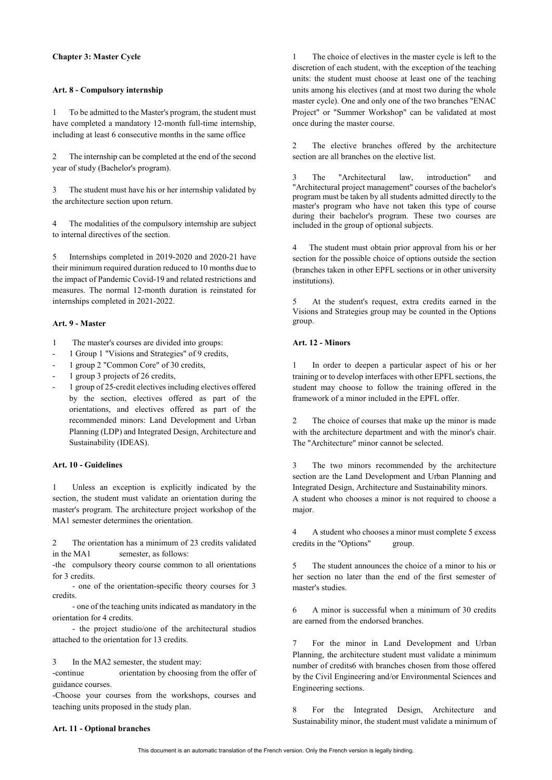## **Chapter 3: Master Cycle**

## **Art. 8 - Compulsory internship**

1 To be admitted to the Master's program, the student must have completed a mandatory 12-month full-time internship, including at least 6 consecutive months in the same office

2 The internship can be completed at the end of the second year of study (Bachelor's program).

3 The student must have his or her internship validated by the architecture section upon return.

4 The modalities of the compulsory internship are subject to internal directives of the section.

5 Internships completed in 2019-2020 and 2020-21 have their minimum required duration reduced to 10 months due to the impact of Pandemic Covid-19 and related restrictions and measures. The normal 12-month duration is reinstated for internships completed in 2021-2022.

## **Art. 9 - Master**

- 1 The master's courses are divided into groups:
- 1 Group 1 "Visions and Strategies" of 9 credits,
- 1 group 2 "Common Core" of 30 credits,
- 1 group 3 projects of 26 credits,
- 1 group of 25-credit electives including electives offered by the section, electives offered as part of the orientations, and electives offered as part of the recommended minors: Land Development and Urban Planning (LDP) and Integrated Design, Architecture and Sustainability (IDEAS).

### **Art. 10 - Guidelines**

1 Unless an exception is explicitly indicated by the section, the student must validate an orientation during the master's program. The architecture project workshop of the MA1 semester determines the orientation.

2 The orientation has a minimum of 23 credits validated in the MA1 semester, as follows:

-the compulsory theory course common to all orientations for 3 credits.

 - one of the orientation-specific theory courses for 3 credits.

 - one of the teaching units indicated as mandatory in the orientation for 4 credits.

 - the project studio/one of the architectural studios attached to the orientation for 13 credits.

#### 3 In the MA2 semester, the student may:

-continue orientation by choosing from the offer of guidance courses.

-Choose your courses from the workshops, courses and teaching units proposed in the study plan.

The choice of electives in the master cycle is left to the discretion of each student, with the exception of the teaching units: the student must choose at least one of the teaching units among his electives (and at most two during the whole master cycle). One and only one of the two branches "ENAC Project" or "Summer Workshop" can be validated at most once during the master course.

2 The elective branches offered by the architecture section are all branches on the elective list.

3 The "Architectural law, introduction" and "Architectural project management" courses of the bachelor's program must be taken by all students admitted directly to the master's program who have not taken this type of course during their bachelor's program. These two courses are included in the group of optional subjects.

4 The student must obtain prior approval from his or her section for the possible choice of options outside the section (branches taken in other EPFL sections or in other university institutions).

5 At the student's request, extra credits earned in the Visions and Strategies group may be counted in the Options group.

## **Art. 12 - Minors**

1 In order to deepen a particular aspect of his or her training or to develop interfaces with other EPFL sections, the student may choose to follow the training offered in the framework of a minor included in the EPFL offer.

2 The choice of courses that make up the minor is made with the architecture department and with the minor's chair. The "Architecture" minor cannot be selected.

3 The two minors recommended by the architecture section are the Land Development and Urban Planning and Integrated Design, Architecture and Sustainability minors. A student who chooses a minor is not required to choose a major.

4 A student who chooses a minor must complete 5 excess credits in the "Options" group.

5 The student announces the choice of a minor to his or her section no later than the end of the first semester of master's studies.

6 A minor is successful when a minimum of 30 credits are earned from the endorsed branches.

7 For the minor in Land Development and Urban Planning, the architecture student must validate a minimum number of credits6 with branches chosen from those offered by the Civil Engineering and/or Environmental Sciences and Engineering sections.

8 For the Integrated Design, Architecture and Sustainability minor, the student must validate a minimum of

### **Art. 11 - Optional branches**